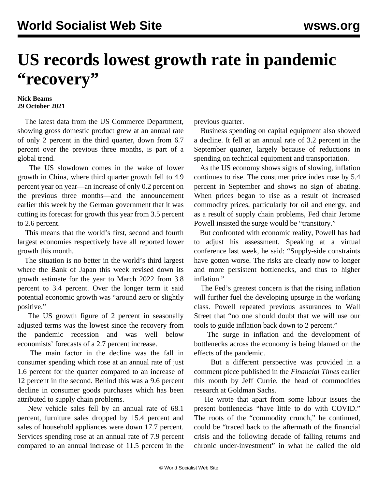## **US records lowest growth rate in pandemic "recovery"**

## **Nick Beams 29 October 2021**

 The latest data from the US Commerce Department, showing gross domestic product grew at an annual rate of only 2 percent in the third quarter, down from 6.7 percent over the previous three months, is part of a global trend.

 The US slowdown comes in the wake of lower growth in China, where third quarter growth fell to 4.9 percent year on year—an increase of only 0.2 percent on the previous three months—and the announcement earlier this week by the German government that it was cutting its forecast for growth this year from 3.5 percent to 2.6 percent.

 This means that the world's first, second and fourth largest economies respectively have all reported lower growth this month.

 The situation is no better in the world's third largest where the Bank of Japan this week revised down its growth estimate for the year to March 2022 from 3.8 percent to 3.4 percent. Over the longer term it said potential economic growth was "around zero or slightly positive."

 The US growth figure of 2 percent in seasonally adjusted terms was the lowest since the recovery from the pandemic recession and was well below economists' forecasts of a 2.7 percent increase.

 The main factor in the decline was the fall in consumer spending which rose at an annual rate of just 1.6 percent for the quarter compared to an increase of 12 percent in the second. Behind this was a 9.6 percent decline in consumer goods purchases which has been attributed to supply chain problems.

 New vehicle sales fell by an annual rate of 68.1 percent, furniture sales dropped by 15.4 percent and sales of household appliances were down 17.7 percent. Services spending rose at an annual rate of 7.9 percent compared to an annual increase of 11.5 percent in the previous quarter.

 Business spending on capital equipment also showed a decline. It fell at an annual rate of 3.2 percent in the September quarter, largely because of reductions in spending on technical equipment and transportation.

 As the US economy shows signs of slowing, inflation continues to rise. The consumer price index rose by 5.4 percent in September and shows no sign of abating. When prices began to rise as a result of increased commodity prices, particularly for oil and energy, and as a result of supply chain problems, Fed chair Jerome Powell insisted the surge would be "transitory."

 But confronted with economic reality, Powell has had to adjust his assessment. Speaking at a virtual conference last week, he said: "Supply-side constraints have gotten worse. The risks are clearly now to longer and more persistent bottlenecks, and thus to higher inflation."

 The Fed's greatest concern is that the rising inflation will further fuel the developing upsurge in the working class. Powell repeated previous assurances to Wall Street that "no one should doubt that we will use our tools to guide inflation back down to 2 percent."

 The surge in inflation and the development of bottlenecks across the economy is being blamed on the effects of the pandemic.

 But a different perspective was provided in a comment piece published in the *Financial Times* earlier this month by Jeff Currie, the head of commodities research at Goldman Sachs.

 He wrote that apart from some labour issues the present bottlenecks "have little to do with COVID." The roots of the "commodity crunch," he continued, could be "traced back to the aftermath of the financial crisis and the following decade of falling returns and chronic under-investment" in what he called the old